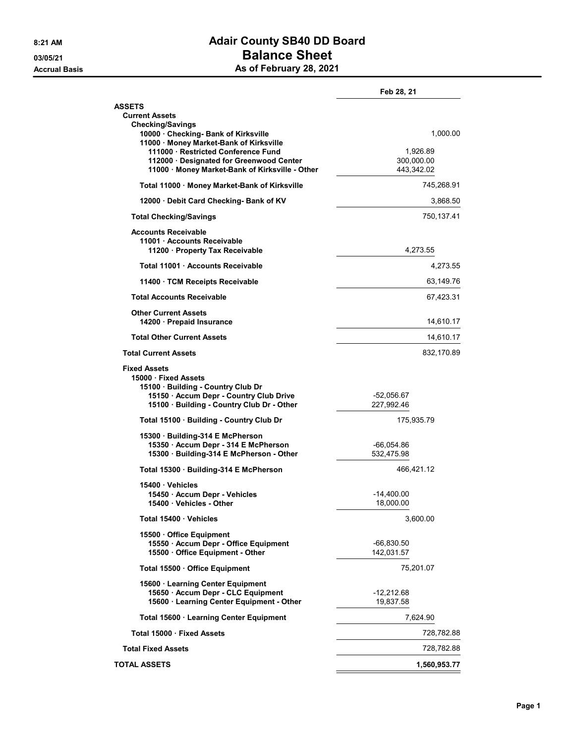## 8:21 AM **Adair County SB40 DD Board** 03/05/21 Balance Sheet Accrual Basis **Accrual Basis** As of February 28, 2021

|                                                                                                                      | Feb 28, 21               |
|----------------------------------------------------------------------------------------------------------------------|--------------------------|
| <b>ASSETS</b><br><b>Current Assets</b><br><b>Checking/Savings</b>                                                    |                          |
| 10000 Checking- Bank of Kirksville<br>11000 · Money Market-Bank of Kirksville<br>111000 Restricted Conference Fund   | 1,000.00<br>1,926.89     |
| 112000 Designated for Greenwood Center<br>11000 · Money Market-Bank of Kirksville - Other                            | 300,000.00<br>443,342.02 |
| Total 11000 · Money Market-Bank of Kirksville                                                                        | 745,268.91               |
| 12000 Debit Card Checking- Bank of KV                                                                                | 3,868.50                 |
| <b>Total Checking/Savings</b>                                                                                        | 750,137.41               |
| <b>Accounts Receivable</b><br>11001 Accounts Receivable<br>11200 · Property Tax Receivable                           | 4,273.55                 |
| Total 11001 Accounts Receivable                                                                                      | 4,273.55                 |
| 11400 TCM Receipts Receivable                                                                                        | 63,149.76                |
| <b>Total Accounts Receivable</b>                                                                                     | 67,423.31                |
| <b>Other Current Assets</b><br>14200 · Prepaid Insurance                                                             | 14,610.17                |
| <b>Total Other Current Assets</b>                                                                                    | 14,610.17                |
| <b>Total Current Assets</b>                                                                                          | 832,170.89               |
| <b>Fixed Assets</b><br>15000 Fixed Assets<br>15100 Building - Country Club Dr                                        |                          |
| 15150 · Accum Depr - Country Club Drive<br>15100 · Building - Country Club Dr - Other                                | -52,056.67<br>227,992.46 |
| Total 15100 Building - Country Club Dr                                                                               | 175,935.79               |
| 15300 Building-314 E McPherson<br>15350 · Accum Depr - 314 E McPherson                                               | -66,054.86<br>532,475.98 |
| 15300 · Building-314 E McPherson - Other                                                                             |                          |
| Total 15300 Building-314 E McPherson                                                                                 | 466,421.12               |
| 15400 Vehicles<br>15450 Accum Depr - Vehicles<br>15400 Vehicles - Other                                              | -14,400.00<br>18,000.00  |
| Total 15400 Vehicles                                                                                                 | 3,600.00                 |
| 15500 Office Equipment                                                                                               |                          |
| 15550 · Accum Depr - Office Equipment<br>15500 Office Equipment - Other                                              | -66,830.50<br>142,031.57 |
| Total 15500 Office Equipment                                                                                         | 75,201.07                |
| 15600 · Learning Center Equipment<br>15650 · Accum Depr - CLC Equipment<br>15600 · Learning Center Equipment - Other | -12,212.68<br>19,837.58  |
| Total 15600 · Learning Center Equipment                                                                              | 7,624.90                 |
| Total 15000 · Fixed Assets                                                                                           | 728,782.88               |
| <b>Total Fixed Assets</b>                                                                                            | 728,782.88               |
| <b>TOTAL ASSETS</b>                                                                                                  | 1,560,953.77             |